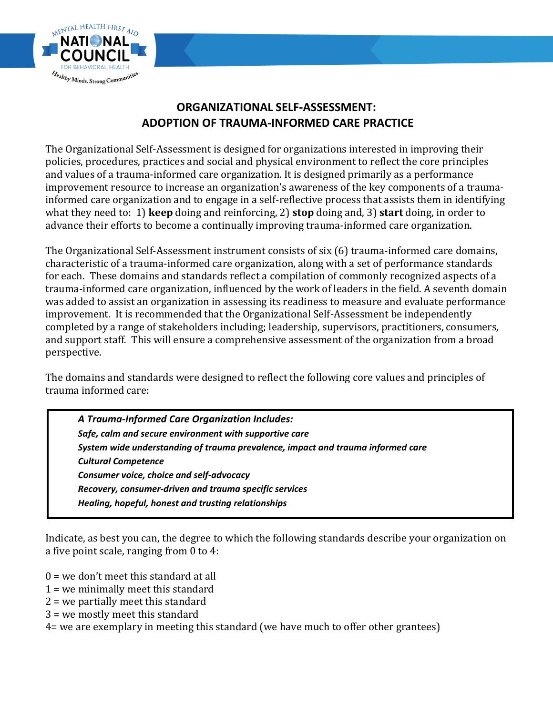

# **ORGANIZATIONAL SELF-ASSESSMENT: ADOPTION OF TRAUMA-INFORMED CARE PRACTICE**

The Organizational Self-Assessment is designed for organizations interested in improving their policies, procedures, practices and social and physical environment to reflect the core principles and values of a trauma-informed care organization. It is designed primarily as a performance improvement resource to increase an organization's awareness of the key components of a traumainformed care organization and to engage in a self-reflective process that assists them in identifying what they need to: 1) **keep** doing and reinforcing, 2) **stop** doing and, 3) **start** doing, in order to advance their efforts to become a continually improving trauma-informed care organization.

The Organizational Self-Assessment instrument consists of six (6) trauma-informed care domains, characteristic of a trauma-informed care organization, along with a set of performance standards for each. These domains and standards reflect a compilation of commonly recognized aspects of a trauma-informed care organization, influenced by the work of leaders in the field. A seventh domain was added to assist an organization in assessing its readiness to measure and evaluate performance improvement. It is recommended that the Organizational Self-Assessment be independently completed by a range of stakeholders including; leadership, supervisors, practitioners, consumers, and support staff. This will ensure a comprehensive assessment of the organization from a broad perspective.

The domains and standards were designed to reflect the following core values and principles of trauma informed care:

*A Trauma-Informed Care Organization Includes: Safe, calm and secure environment with supportive care System wide understanding of trauma prevalence, impact and trauma informed care Cultural Competence Consumer voice, choice and self-advocacy Recovery, consumer-driven and trauma specific services Healing, hopeful, honest and trusting relationships*

Indicate, as best you can, the degree to which the following standards describe your organization on a five point scale, ranging from 0 to 4:

- $0 =$  we don't meet this standard at all
- 1 = we minimally meet this standard
- 2 = we partially meet this standard
- 3 = we mostly meet this standard
- 4= we are exemplary in meeting this standard (we have much to offer other grantees)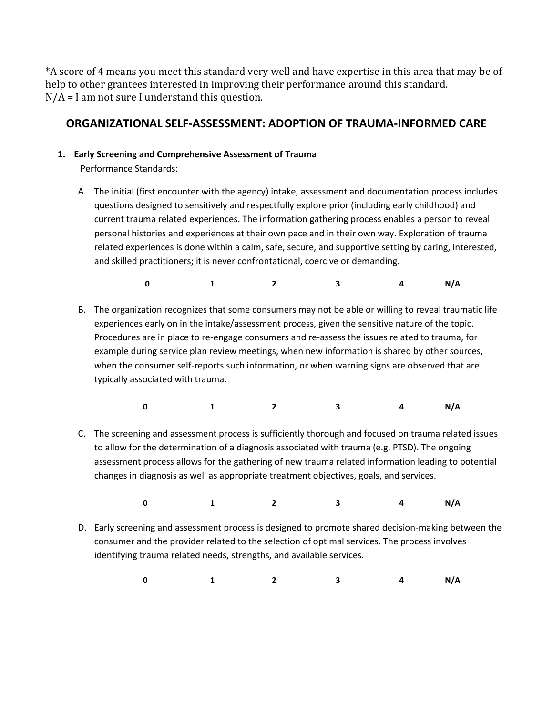\*A score of 4 means you meet this standard very well and have expertise in this area that may be of help to other grantees interested in improving their performance around this standard. N/A = I am not sure I understand this question.

## **ORGANIZATIONAL SELF-ASSESSMENT: ADOPTION OF TRAUMA-INFORMED CARE**

### **1. Early Screening and Comprehensive Assessment of Trauma**

Performance Standards:

A. The initial (first encounter with the agency) intake, assessment and documentation process includes questions designed to sensitively and respectfully explore prior (including early childhood) and current trauma related experiences. The information gathering process enables a person to reveal personal histories and experiences at their own pace and in their own way. Exploration of trauma related experiences is done within a calm, safe, secure, and supportive setting by caring, interested, and skilled practitioners; it is never confrontational, coercive or demanding.

**0 1 2 3 4 N/A**

B. The organization recognizes that some consumers may not be able or willing to reveal traumatic life experiences early on in the intake/assessment process, given the sensitive nature of the topic. Procedures are in place to re-engage consumers and re-assess the issues related to trauma, for example during service plan review meetings, when new information is shared by other sources, when the consumer self-reports such information, or when warning signs are observed that are typically associated with trauma.

| 0 1 2 3 4 N/A |  |  |  |
|---------------|--|--|--|
|               |  |  |  |

C. The screening and assessment process is sufficiently thorough and focused on trauma related issues to allow for the determination of a diagnosis associated with trauma (e.g. PTSD). The ongoing assessment process allows for the gathering of new trauma related information leading to potential changes in diagnosis as well as appropriate treatment objectives, goals, and services.

**0 1 2 3 4 N/A** 

D. Early screening and assessment process is designed to promote shared decision-making between the consumer and the provider related to the selection of optimal services. The process involves identifying trauma related needs, strengths, and available services.

 **0 1 2 3 4 N/A**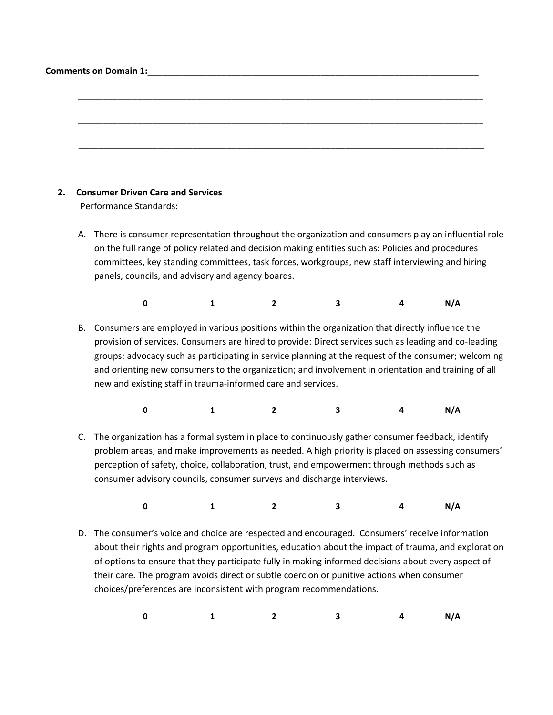| <b>Comments on Domain 1:</b> |  |
|------------------------------|--|
|                              |  |

Performance Standards:

A. There is consumer representation throughout the organization and consumers play an influential role on the full range of policy related and decision making entities such as: Policies and procedures committees, key standing committees, task forces, workgroups, new staff interviewing and hiring panels, councils, and advisory and agency boards.

\_\_\_\_\_\_\_\_\_\_\_\_\_\_\_\_\_\_\_\_\_\_\_\_\_\_\_\_\_\_\_\_\_\_\_\_\_\_\_\_\_\_\_\_\_\_\_\_\_\_\_\_\_\_\_\_\_\_\_\_\_\_\_\_\_\_\_\_\_\_\_\_\_\_\_\_\_\_\_\_\_\_

\_\_\_\_\_\_\_\_\_\_\_\_\_\_\_\_\_\_\_\_\_\_\_\_\_\_\_\_\_\_\_\_\_\_\_\_\_\_\_\_\_\_\_\_\_\_\_\_\_\_\_\_\_\_\_\_\_\_\_\_\_\_\_\_\_\_\_\_\_\_\_\_\_\_\_\_\_\_\_\_\_\_

\_\_\_\_\_\_\_\_\_\_\_\_\_\_\_\_\_\_\_\_\_\_\_\_\_\_\_\_\_\_\_\_\_\_\_\_\_\_\_\_\_\_\_\_\_\_\_\_\_\_\_\_\_\_\_\_\_\_\_\_\_\_\_\_\_\_\_\_\_\_\_\_\_\_\_\_\_\_\_\_\_\_

 **0 1 2 3 4 N/A**

- B. Consumers are employed in various positions within the organization that directly influence the provision of services. Consumers are hired to provide: Direct services such as leading and co-leading groups; advocacy such as participating in service planning at the request of the consumer; welcoming and orienting new consumers to the organization; and involvement in orientation and training of all new and existing staff in trauma-informed care and services.
- **0 1 2 3 4 N/A**
- C. The organization has a formal system in place to continuously gather consumer feedback, identify problem areas, and make improvements as needed. A high priority is placed on assessing consumers' perception of safety, choice, collaboration, trust, and empowerment through methods such as consumer advisory councils, consumer surveys and discharge interviews.

**0 1 2 3 4 N/A**

D. The consumer's voice and choice are respected and encouraged. Consumers' receive information about their rights and program opportunities, education about the impact of trauma, and exploration of options to ensure that they participate fully in making informed decisions about every aspect of their care. The program avoids direct or subtle coercion or punitive actions when consumer choices/preferences are inconsistent with program recommendations.

| 0 1 2 3 4 N/A |  |
|---------------|--|
|---------------|--|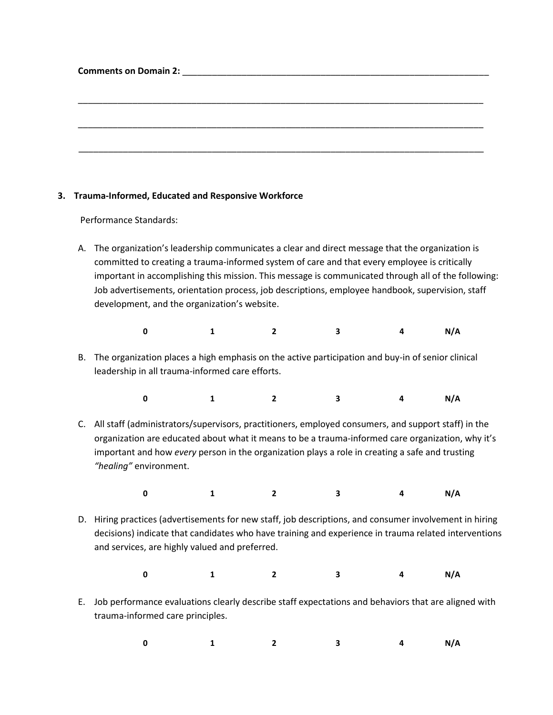| <b>Comments on Domain 2:</b> The state of the state of the state of the state of the state of the state of the state of the state of the state of the state of the state of the state of the state of the state of the state of the |  |  |  |
|-------------------------------------------------------------------------------------------------------------------------------------------------------------------------------------------------------------------------------------|--|--|--|
|                                                                                                                                                                                                                                     |  |  |  |
|                                                                                                                                                                                                                                     |  |  |  |
|                                                                                                                                                                                                                                     |  |  |  |
|                                                                                                                                                                                                                                     |  |  |  |
|                                                                                                                                                                                                                                     |  |  |  |
|                                                                                                                                                                                                                                     |  |  |  |
|                                                                                                                                                                                                                                     |  |  |  |

### **3. Trauma-Informed, Educated and Responsive Workforce**

Performance Standards:

A. The organization's leadership communicates a clear and direct message that the organization is committed to creating a trauma-informed system of care and that every employee is critically important in accomplishing this mission. This message is communicated through all of the following: Job advertisements, orientation process, job descriptions, employee handbook, supervision, staff development, and the organization's website.

| $\mathbf{0}$ |  | 4 N/A |  |
|--------------|--|-------|--|
|              |  |       |  |

B. The organization places a high emphasis on the active participation and buy-in of senior clinical leadership in all trauma-informed care efforts.

| 0 1 2 3 4 N/A |  |  |  |
|---------------|--|--|--|
|               |  |  |  |

C. All staff (administrators/supervisors, practitioners, employed consumers, and support staff) in the organization are educated about what it means to be a trauma-informed care organization, why it's important and how *every* person in the organization plays a role in creating a safe and trusting *"healing"* environment.

**0 1 2 3 4 N/A**

- D. Hiring practices (advertisements for new staff, job descriptions, and consumer involvement in hiring decisions) indicate that candidates who have training and experience in trauma related interventions and services, are highly valued and preferred.
	- **0 1 2 3 4 N/A**
- E. Job performance evaluations clearly describe staff expectations and behaviors that are aligned with trauma-informed care principles.

**0 1 2 3 4 N/A**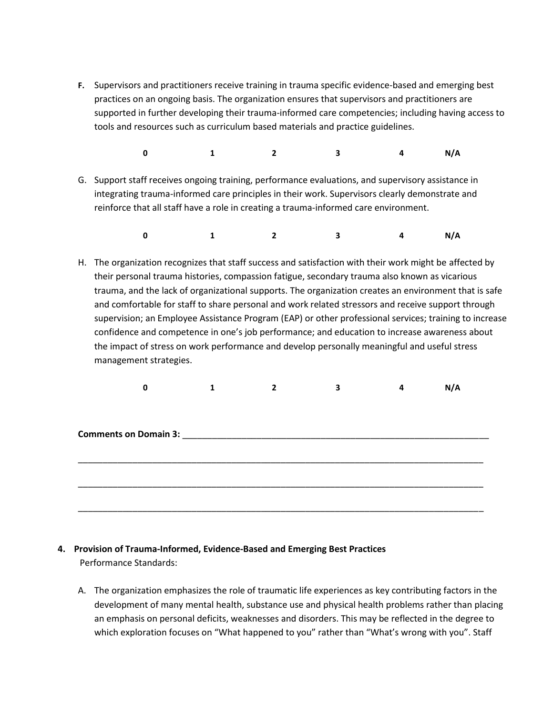**F.** Supervisors and practitioners receive training in trauma specific evidence-based and emerging best practices on an ongoing basis. The organization ensures that supervisors and practitioners are supported in further developing their trauma-informed care competencies; including having access to tools and resources such as curriculum based materials and practice guidelines.

**0 1 2 3 4 N/A**

- G. Support staff receives ongoing training, performance evaluations, and supervisory assistance in integrating trauma-informed care principles in their work. Supervisors clearly demonstrate and reinforce that all staff have a role in creating a trauma-informed care environment.
	- **0 1 2 3 4 N/A**
- H. The organization recognizes that staff success and satisfaction with their work might be affected by their personal trauma histories, compassion fatigue, secondary trauma also known as vicarious trauma, and the lack of organizational supports. The organization creates an environment that is safe and comfortable for staff to share personal and work related stressors and receive support through supervision; an Employee Assistance Program (EAP) or other professional services; training to increase confidence and competence in one's job performance; and education to increase awareness about the impact of stress on work performance and develop personally meaningful and useful stress management strategies.

|  |                                           | 3 | N/A |
|--|-------------------------------------------|---|-----|
|  |                                           |   |     |
|  |                                           |   |     |
|  |                                           |   |     |
|  | <b>Comments on Domain 3: Example 2018</b> |   |     |
|  |                                           |   |     |
|  |                                           |   |     |
|  |                                           |   |     |
|  |                                           |   |     |
|  |                                           |   |     |
|  |                                           |   |     |

### **4. Provision of Trauma-Informed, Evidence-Based and Emerging Best Practices**  Performance Standards:

A. The organization emphasizes the role of traumatic life experiences as key contributing factors in the development of many mental health, substance use and physical health problems rather than placing an emphasis on personal deficits, weaknesses and disorders. This may be reflected in the degree to which exploration focuses on "What happened to you" rather than "What's wrong with you". Staff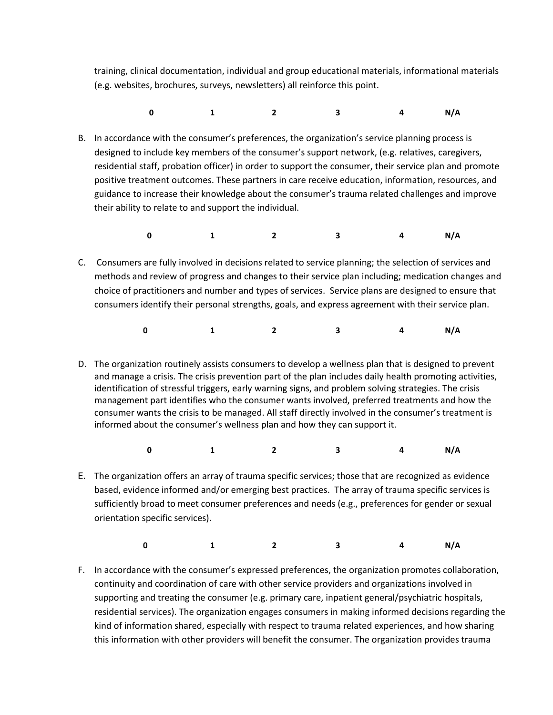training, clinical documentation, individual and group educational materials, informational materials (e.g. websites, brochures, surveys, newsletters) all reinforce this point.

- **0 1 2 3 4 N/A**
- B. In accordance with the consumer's preferences, the organization's service planning process is designed to include key members of the consumer's support network, (e.g. relatives, caregivers, residential staff, probation officer) in order to support the consumer, their service plan and promote positive treatment outcomes. These partners in care receive education, information, resources, and guidance to increase their knowledge about the consumer's trauma related challenges and improve their ability to relate to and support the individual.
- **0 1 2 3 4 N/A**
- C. Consumers are fully involved in decisions related to service planning; the selection of services and methods and review of progress and changes to their service plan including; medication changes and choice of practitioners and number and types of services. Service plans are designed to ensure that consumers identify their personal strengths, goals, and express agreement with their service plan.
- **0 1 2 3 4 N/A**
- D. The organization routinely assists consumers to develop a wellness plan that is designed to prevent and manage a crisis. The crisis prevention part of the plan includes daily health promoting activities, identification of stressful triggers, early warning signs, and problem solving strategies. The crisis management part identifies who the consumer wants involved, preferred treatments and how the consumer wants the crisis to be managed. All staff directly involved in the consumer's treatment is informed about the consumer's wellness plan and how they can support it.
- **0 1 2 3 4 N/A**
- E. The organization offers an array of trauma specific services; those that are recognized as evidence based, evidence informed and/or emerging best practices. The array of trauma specific services is sufficiently broad to meet consumer preferences and needs (e.g., preferences for gender or sexual orientation specific services).

|  | 0 1 2 3 4 N/A |  |  |  |  |
|--|---------------|--|--|--|--|
|--|---------------|--|--|--|--|

F. In accordance with the consumer's expressed preferences, the organization promotes collaboration, continuity and coordination of care with other service providers and organizations involved in supporting and treating the consumer (e.g. primary care, inpatient general/psychiatric hospitals, residential services). The organization engages consumers in making informed decisions regarding the kind of information shared, especially with respect to trauma related experiences, and how sharing this information with other providers will benefit the consumer. The organization provides trauma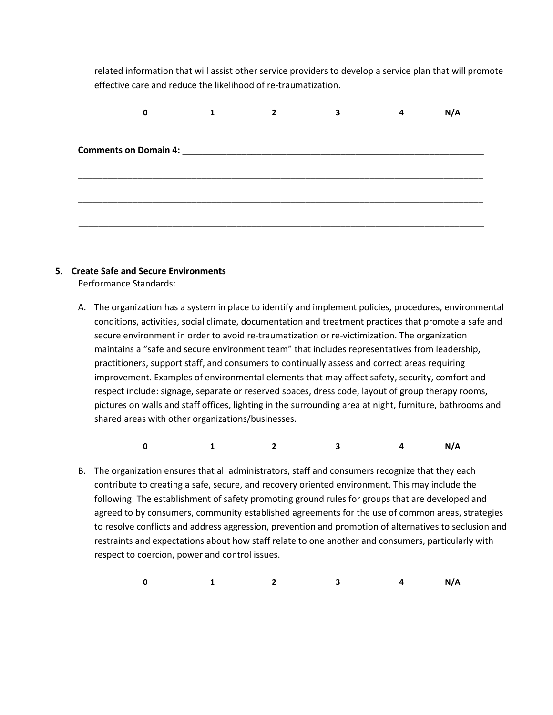related information that will assist other service providers to develop a service plan that will promote effective care and reduce the likelihood of re-traumatization.

| 0 | 1 | 3                                                                                                                                                                                                                                   | 4 | N/A |
|---|---|-------------------------------------------------------------------------------------------------------------------------------------------------------------------------------------------------------------------------------------|---|-----|
|   |   |                                                                                                                                                                                                                                     |   |     |
|   |   |                                                                                                                                                                                                                                     |   |     |
|   |   |                                                                                                                                                                                                                                     |   |     |
|   |   |                                                                                                                                                                                                                                     |   |     |
|   |   |                                                                                                                                                                                                                                     |   |     |
|   |   |                                                                                                                                                                                                                                     |   |     |
|   |   |                                                                                                                                                                                                                                     |   |     |
|   |   |                                                                                                                                                                                                                                     |   |     |
|   |   |                                                                                                                                                                                                                                     |   |     |
|   |   | <b>Comments on Domain 4:</b> The community of the community of the community of the community of the community of the community of the community of the community of the community of the community of the community of the communi |   |     |

### **5. Create Safe and Secure Environments**

Performance Standards:

A. The organization has a system in place to identify and implement policies, procedures, environmental conditions, activities, social climate, documentation and treatment practices that promote a safe and secure environment in order to avoid re-traumatization or re-victimization. The organization maintains a "safe and secure environment team" that includes representatives from leadership, practitioners, support staff, and consumers to continually assess and correct areas requiring improvement. Examples of environmental elements that may affect safety, security, comfort and respect include: signage, separate or reserved spaces, dress code, layout of group therapy rooms, pictures on walls and staff offices, lighting in the surrounding area at night, furniture, bathrooms and shared areas with other organizations/businesses.

 **0 1 2 3 4 N/A**

B. The organization ensures that all administrators, staff and consumers recognize that they each contribute to creating a safe, secure, and recovery oriented environment. This may include the following: The establishment of safety promoting ground rules for groups that are developed and agreed to by consumers, community established agreements for the use of common areas, strategies to resolve conflicts and address aggression, prevention and promotion of alternatives to seclusion and restraints and expectations about how staff relate to one another and consumers, particularly with respect to coercion, power and control issues.

 **0 1 2 3 4 N/A**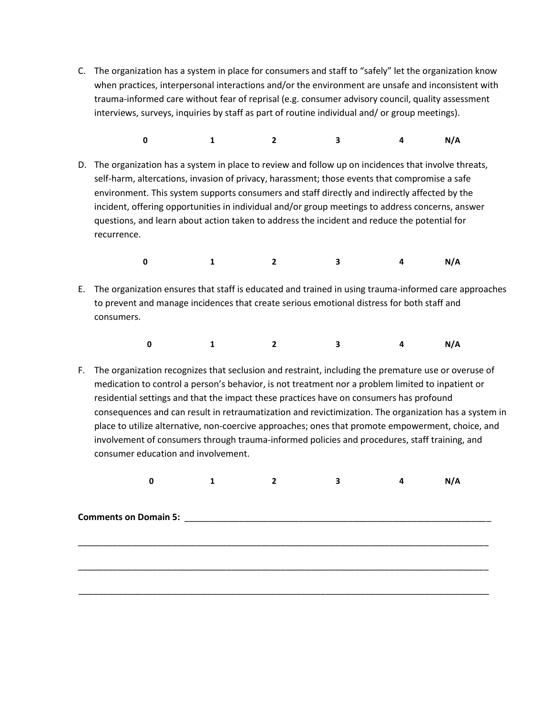- C. The organization has a system in place for consumers and staff to "safely" let the organization know when practices, interpersonal interactions and/or the environment are unsafe and inconsistent with trauma-informed care without fear of reprisal (e.g. consumer advisory council, quality assessment interviews, surveys, inquiries by staff as part of routine individual and/ or group meetings).
- **0 1 2 3 4 N/A**
- D. The organization has a system in place to review and follow up on incidences that involve threats, self-harm, altercations, invasion of privacy, harassment; those events that compromise a safe environment. This system supports consumers and staff directly and indirectly affected by the incident, offering opportunities in individual and/or group meetings to address concerns, answer questions, and learn about action taken to address the incident and reduce the potential for recurrence.
- **0 1 2 3 4 N/A**
- E. The organization ensures that staff is educated and trained in using trauma-informed care approaches to prevent and manage incidences that create serious emotional distress for both staff and consumers.
- **0 1 2 3 4 N/A**
- F. The organization recognizes that seclusion and restraint, including the premature use or overuse of medication to control a person's behavior, is not treatment nor a problem limited to inpatient or residential settings and that the impact these practices have on consumers has profound consequences and can result in retraumatization and revictimization. The organization has a system in place to utilize alternative, non-coercive approaches; ones that promote empowerment, choice, and involvement of consumers through trauma-informed policies and procedures, staff training, and consumer education and involvement.

|                              |  | 3 | N/A |
|------------------------------|--|---|-----|
|                              |  |   |     |
|                              |  |   |     |
| <b>Comments on Domain 5:</b> |  |   |     |
|                              |  |   |     |
|                              |  |   |     |
|                              |  |   |     |
|                              |  |   |     |
|                              |  |   |     |
|                              |  |   |     |
|                              |  |   |     |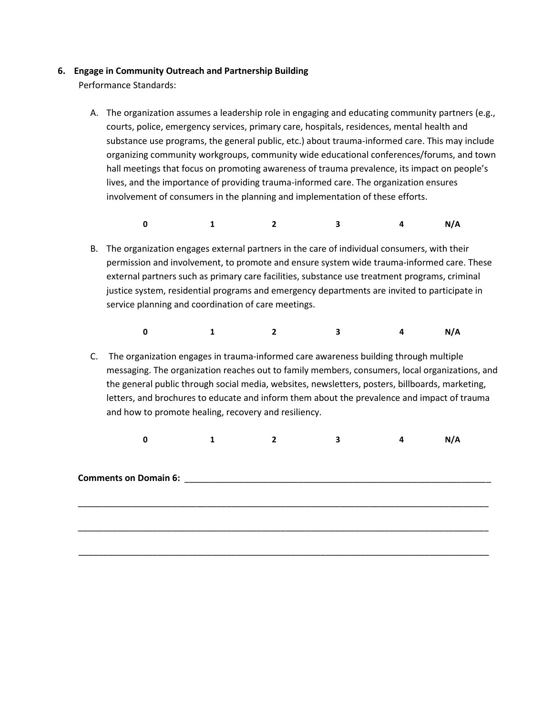### **6. Engage in Community Outreach and Partnership Building**

Performance Standards:

- A. The organization assumes a leadership role in engaging and educating community partners (e.g., courts, police, emergency services, primary care, hospitals, residences, mental health and substance use programs, the general public, etc.) about trauma-informed care. This may include organizing community workgroups, community wide educational conferences/forums, and town hall meetings that focus on promoting awareness of trauma prevalence, its impact on people's lives, and the importance of providing trauma-informed care. The organization ensures involvement of consumers in the planning and implementation of these efforts.
- **0 1 2 3 4 N/A**
	- B. The organization engages external partners in the care of individual consumers, with their permission and involvement, to promote and ensure system wide trauma-informed care. These external partners such as primary care facilities, substance use treatment programs, criminal justice system, residential programs and emergency departments are invited to participate in service planning and coordination of care meetings.
- **0 1 2 3 4 N/A**
	- C. The organization engages in trauma-informed care awareness building through multiple messaging. The organization reaches out to family members, consumers, local organizations, and the general public through social media, websites, newsletters, posters, billboards, marketing, letters, and brochures to educate and inform them about the prevalence and impact of trauma and how to promote healing, recovery and resiliency.

 **0 1 2 3 4 N/A**

\_\_\_\_\_\_\_\_\_\_\_\_\_\_\_\_\_\_\_\_\_\_\_\_\_\_\_\_\_\_\_\_\_\_\_\_\_\_\_\_\_\_\_\_\_\_\_\_\_\_\_\_\_\_\_\_\_\_\_\_\_\_\_\_\_\_\_\_\_\_\_\_\_\_\_\_\_\_\_\_\_\_\_

\_\_\_\_\_\_\_\_\_\_\_\_\_\_\_\_\_\_\_\_\_\_\_\_\_\_\_\_\_\_\_\_\_\_\_\_\_\_\_\_\_\_\_\_\_\_\_\_\_\_\_\_\_\_\_\_\_\_\_\_\_\_\_\_\_\_\_\_\_\_\_\_\_\_\_\_\_\_\_\_\_\_\_

\_\_\_\_\_\_\_\_\_\_\_\_\_\_\_\_\_\_\_\_\_\_\_\_\_\_\_\_\_\_\_\_\_\_\_\_\_\_\_\_\_\_\_\_\_\_\_\_\_\_\_\_\_\_\_\_\_\_\_\_\_\_\_\_\_\_\_\_\_\_\_\_\_\_\_\_\_\_\_\_\_\_\_

**Comments on Domain 6:** \_\_\_\_\_\_\_\_\_\_\_\_\_\_\_\_\_\_\_\_\_\_\_\_\_\_\_\_\_\_\_\_\_\_\_\_\_\_\_\_\_\_\_\_\_\_\_\_\_\_\_\_\_\_\_\_\_\_\_\_\_\_